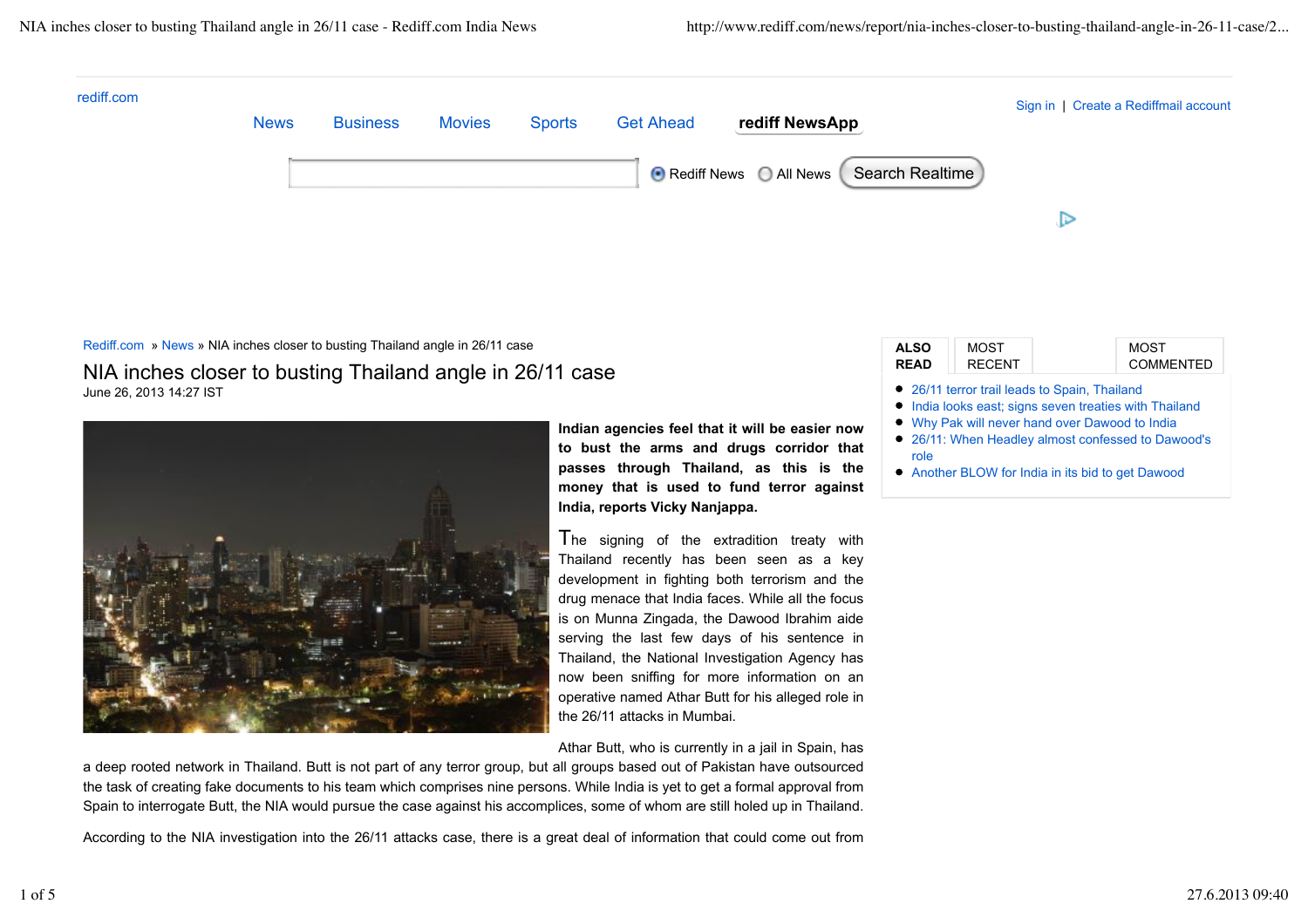

## Rediff.com » News » NIA inches closer to busting Thailand angle in 26/11 case NIA inches closer to busting Thailand angle in 26/11 case June 26, 2013 14:27 IST



**Indian agencies feel that it will be easier now to bust the arms and drugs corridor that passes through Thailand, as this is the money that is used to fund terror against India, reports Vicky Nanjappa.**

The signing of the extradition treaty with Thailand recently has been seen as a key development in fighting both terrorism and the drug menace that India faces. While all the focus is on Munna Zingada, the Dawood Ibrahim aide serving the last few days of his sentence in Thailand, the National Investigation Agency has now been sniffing for more information on an operative named Athar Butt for his alleged role in the 26/11 attacks in Mumbai.

Athar Butt, who is currently in a jail in Spain, has

a deep rooted network in Thailand. Butt is not part of any terror group, but all groups based out of Pakistan have outsourced the task of creating fake documents to his team which comprises nine persons. While India is yet to get a formal approval from Spain to interrogate Butt, the NIA would pursue the case against his accomplices, some of whom are still holed up in Thailand.

According to the NIA investigation into the 26/11 attacks case, there is a great deal of information that could come out from

| <b>ALSO</b>                                                                                                                                                                                                                                                                  | <b>MOST</b>   | MOST             |
|------------------------------------------------------------------------------------------------------------------------------------------------------------------------------------------------------------------------------------------------------------------------------|---------------|------------------|
| <b>READ</b>                                                                                                                                                                                                                                                                  | <b>RECENT</b> | <b>COMMENTED</b> |
| • 26/11 terror trail leads to Spain, Thailand<br>• India looks east; signs seven treaties with Thailand<br>• Why Pak will never hand over Dawood to India<br>• 26/11: When Headley almost confessed to Dawood's<br>role<br>• Another BLOW for India in its bid to get Dawood |               |                  |